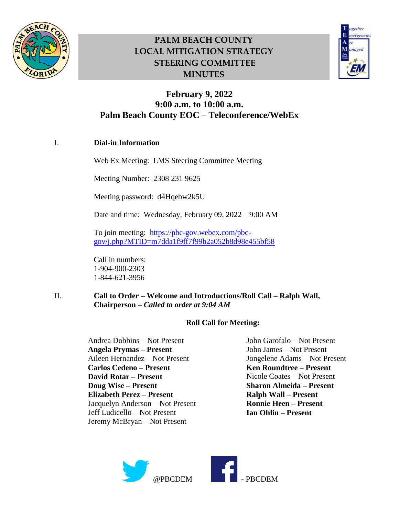



## **February 9, 2022 9:00 a.m. to 10:00 a.m. Palm Beach County EOC – Teleconference/WebEx**

### I. **Dial-in Information**

Web Ex Meeting: LMS Steering Committee Meeting

Meeting Number: 2308 231 9625

Meeting password: d4Hqebw2k5U

Date and time: Wednesday, February 09, 2022 9:00 AM

To join meeting: [https://pbc-gov.webex.com/pbc](https://pbc-gov.webex.com/pbc-gov/j.php?MTID=m7dda1f9ff7f99b2a052b8d98e455bf58)[gov/j.php?MTID=m7dda1f9ff7f99b2a052b8d98e455bf58](https://pbc-gov.webex.com/pbc-gov/j.php?MTID=m7dda1f9ff7f99b2a052b8d98e455bf58)

Call in numbers: 1-904-900-2303 1-844-621-3956

II. **Call to Order – Welcome and Introductions/Roll Call – Ralph Wall, Chairperson –** *Called to order at 9:04 AM*

#### **Roll Call for Meeting:**

Andrea Dobbins – Not Present **Angela Prymas – Present** Aileen Hernandez – Not Present **Carlos Cedeno – Present David Rotar – Present Doug Wise – Present Elizabeth Perez – Present** Jacquelyn Anderson – Not Present Jeff Ludicello – Not Present Jeremy McBryan – Not Present

John Garofalo – Not Present John James – Not Present Jongelene Adams – Not Present **Ken Roundtree – Present** Nicole Coates – Not Present **Sharon Almeida – Present Ralph Wall – Present Ronnie Heen – Present Ian Ohlin – Present**

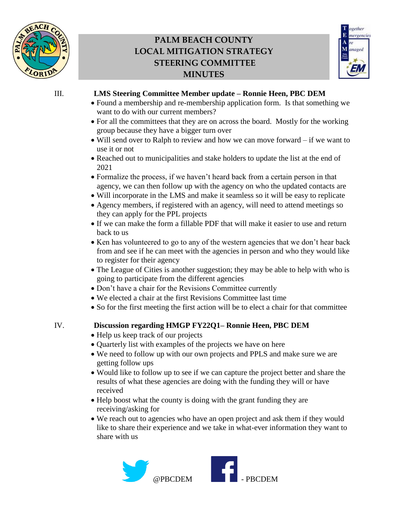



### III. **LMS Steering Committee Member update – Ronnie Heen, PBC DEM**

- Found a membership and re-membership application form. Is that something we want to do with our current members?
- For all the committees that they are on across the board. Mostly for the working group because they have a bigger turn over
- Will send over to Ralph to review and how we can move forward if we want to use it or not
- Reached out to municipalities and stake holders to update the list at the end of 2021
- Formalize the process, if we haven't heard back from a certain person in that agency, we can then follow up with the agency on who the updated contacts are
- Will incorporate in the LMS and make it seamless so it will be easy to replicate
- Agency members, if registered with an agency, will need to attend meetings so they can apply for the PPL projects
- If we can make the form a fillable PDF that will make it easier to use and return back to us
- Ken has volunteered to go to any of the western agencies that we don't hear back from and see if he can meet with the agencies in person and who they would like to register for their agency
- The League of Cities is another suggestion; they may be able to help with who is going to participate from the different agencies
- Don't have a chair for the Revisions Committee currently
- We elected a chair at the first Revisions Committee last time
- So for the first meeting the first action will be to elect a chair for that committee

### IV. **Discussion regarding HMGP FY22Q1– Ronnie Heen, PBC DEM**

- Help us keep track of our projects
- Quarterly list with examples of the projects we have on here
- We need to follow up with our own projects and PPLS and make sure we are getting follow ups
- Would like to follow up to see if we can capture the project better and share the results of what these agencies are doing with the funding they will or have received
- Help boost what the county is doing with the grant funding they are receiving/asking for
- We reach out to agencies who have an open project and ask them if they would like to share their experience and we take in what-ever information they want to share with us

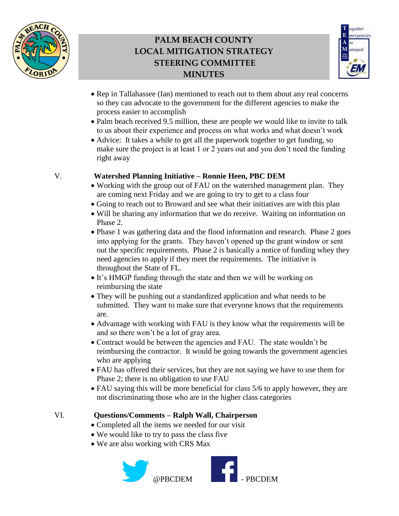



- Rep in Tallahassee (Ian) mentioned to reach out to them about any real concerns so they can advocate to the government for the different agencies to make the process easier to accomplish
- Palm beach received 9.5 million, these are people we would like to invite to talk to us about their experience and process on what works and what doesn't work
- Advice: It takes a while to get all the paperwork together to get funding, so make sure the project is at least 1 or 2 years out and you don't need the funding right away

#### V. **Watershed Planning Initiative – Ronnie Heen, PBC DEM**

- Working with the group out of FAU on the watershed management plan. They are coming next Friday and we are going to try to get to a class four
- Going to reach out to Broward and see what their initiatives are with this plan
- Will be sharing any information that we do receive. Waiting on information on Phase 2.
- Phase 1 was gathering data and the flood information and research. Phase 2 goes into applying for the grants. They haven't opened up the grant window or sent out the specific requirements. Phase 2 is basically a notice of funding whey they need agencies to apply if they meet the requirements. The initiative is throughout the State of FL.
- It's HMGP funding through the state and then we will be working on reimbursing the state
- They will be pushing out a standardized application and what needs to be submitted. They want to make sure that everyone knows that the requirements are.
- Advantage with working with FAU is they know what the requirements will be and so there won't be a lot of gray area.
- Contract would be between the agencies and FAU. The state wouldn't be reimbursing the contractor. It would be going towards the government agencies who are applying
- FAU has offered their services, but they are not saying we have to use them for Phase 2; there is no obligation to use FAU
- FAU saying this will be more beneficial for class 5/6 to apply however, they are not discriminating those who are in the higher class categories

### VI. **Questions/Comments – Ralph Wall, Chairperson**

- Completed all the items we needed for our visit
- We would like to try to pass the class five
- We are also working with CRS Max